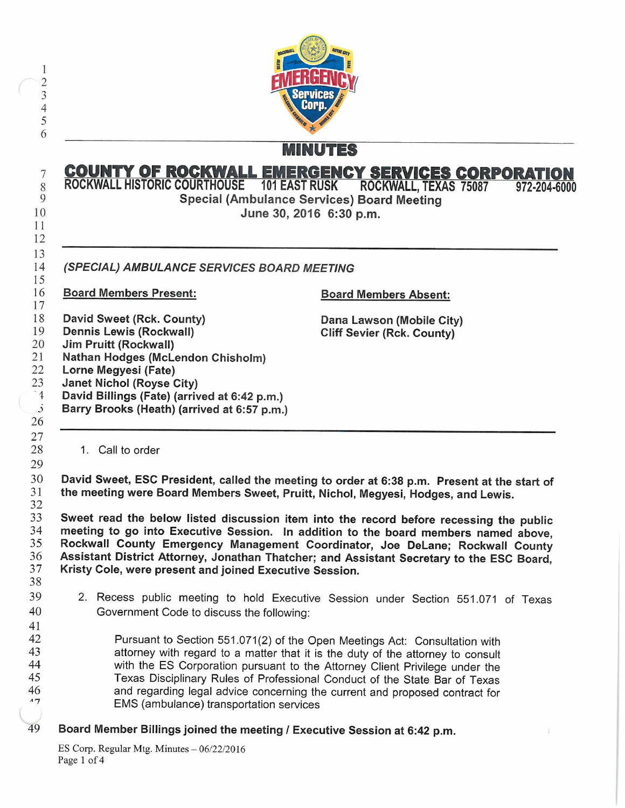

## MINUTES

## **COUNTY OF ROCKWALL EMERGENCY SERVICES CORPORAT** ROCKWALL HISTORIC COURTHOUSE 101 EAST RUSK ROCKWALL, TEXAS 75087 972-204-6000

Special (Ambulance Services) Board Meeting June 30, 2016 6:30 p.m.

14 15 SPECIAL) AMBULANCE SERVICES BOARD MEETING

**10** 

11

 $\overline{7}$ 

8

9

12 13

16 17 18

 $\dot{\mathcal{S}}$ 

41

Board Members Present:

David Sweet (Rck. County)

19 Dennis Lewis (Rockwall)

20 Jim Pruitt (Rockwall) Nathan Hodges (McLendon Chisholm)

21 22 Lorne Megyesi (Fate)

23 Janet Nichol (Royse City)

f David Billings (Fate) (arrived at 6:42 p.m.)

Barry Brooks (Heath) (arrived at 6:57 p.m.)

Board Members Absent:

Dana Lawson (Mobile City) Cliff Sevier (Rck. County)

1. Call to order

30 31 32 David Sweet, ESC President, called the meeting to order at 6:38 p.m. Present at the start of the meeting were Board Members Sweet, Pruitt, Nichol, Megyesi, Hodges, and Lewis.

33 34 35 36 37 38 Sweet read the below listed discussion item into the record before recessing the public meeting to go into Executive Session. In addition to the board members named above, Rockwall County Emergency Management Coordinator, Joe DeLane; Rockwall County Assistant District Attorney, Jonathan Thatcher; and Assistant Secretary to the ESC Board, Kristy Cole, were present and joined Executive Session.

- 39 40 Recess public meeting to hold Executive Session under Section 551. 071 of Texas Government Code to discuss the following:
- 42 43 44 45 46  $17$ Pursuant to Section 551.071(2) of the Open Meetings Act: Consultation with attorney with regard to a matter that it is the duty of the attorney to consult with the ES Corporation pursuant to the Attorney Client Privilege under the Texas Disciplinary Rules of Professional Conduct of the State Bar of Texas and regarding legal advice concerning the current and proposed contract for EMS ( ambulance) transportation services
- 49 Board Member Billings joined the meeting / Executive Session at 6:42 p.m.

ES Corp. Regular Mtg. Minutes  $-06/22/2016$ Page 1 of 4